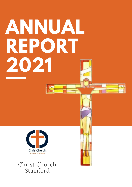# **ANNUAL REPORT 2021**



Christ Church Stamford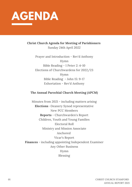

**Christ Church Agenda for Meeting of Parishioners** Sunday 24th April 2022

> Prayer and Introduction - Rev'd Anthony Hymn Bible Reading - 1 Peter 2: 4-10 Elections of Churchwardens for 2022/23 Hymn Bible Reading - John 15: 9-17 Exhortation - Rev'd Anthony

### **The Annual Parochial Church Meeting (APCM)**

Minutes from 2021 - including matters arising **Elections** -Deanery Synod representative New PCC Members **Reports** - Churchwarden's Report Children, Youth and Young Families Electoral Roll Ministry and Mission Associate Anchored Vicar's Report **Finances** - including appointing Independent Examiner Any Other Business Hymn Blessing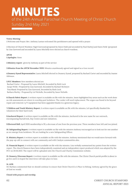### **MINUTES**

### of the 24th Annual Parochial Church Meeting of Christ Church Sunday 2nd May 2021

### **Vestry Meeting**

1.Welcome and Prayer: Rev. Anthony Laotan welcomed the parishioners and opened with a prayer

2.Election of Church Wardens: Nigel Garwood (proposed by Dawn Field and seconded by Paul Darley) and Dawn Field (proposed by Lisa Garwood and seconded by Laura Mitchell) were elected as church wardens.

**APCM**

**1.Apologies**: None

**2.Ministry report:** given by Anthony as part of the service

**3.Minutes from the APCM November 2020:** Minutes unanimously agreed and signed as a true record.

**4.Deanery Synod Representative:** Laura Mitchell elected to Deanery Synod, proposed by Rachael Carter and seconded by Joanne Atkinson.

**5.PCC Members:** New members elected are

Rachael Carter : Proposed by Laura Mitchell, Seconded by Ruth Lock Jacqui Wells : Proposed by Lisa Garwood, Seconded by Rachael McIntyre Tina Bland: Proposed by Lisa Garwood, Seconded by Ruth Lock Barbara Morley : Proposed by Lel Nicholls, Seconded by Jason Nicholls

**6.Church Fabric Report:** A written report is available on file with the minutes. Jason highlighted key areas such as the work done on risk assessments on return to worship post lockdown. The cooker will need replacement. The organ was found to be beyond repair and removed. A/V equipment has been upgraded thanks to a generous legacy.

**7.Children and Youth Ministry Report:** A written report is available on file with the minutes. Lel specifically thanked the volunteers for their hard work.

**8.Anchored Report:** A written report is available on file with the minutes. Anchored is the new name for our outreach, encompassing StartaFresh, Day Centre and new initiatives.

**9.Electoral Roll:** April 2020 membership is 59, a decrease of one from the previous year. Three members have left and two joined.

**10. Safeguarding Report:** A written report is available on file with the minutes Anthony encouraged us to look out for one another as we emerge from lockdown. We are looking for a new Safeguarding Officer.

**11. Ministry Report:** A written report is available on file with the minutes. Anthony mentioned that we would move forward with the pop-up café to connect with our community and with Catalyst communities also.

**12. Financial Report:** A written report is available on file with the minutes. Lisa verbally summarised key points from the written report. The church finances have been independently examined and an independent report produced which was adopted by the PCC on 20.04.2021. The report will be uploaded onto the Church and Charity Commission website.

**13. Deanery/Diocesan Report:** A written report is available on file with the minutes. The Christ Church parish profile is about to go live and it is hoped the interviews will take place in June.

### **14. AOB:**

14.1 Barbara commented that we should continue to ensure that Christ Church is A Place to Belong. Anthony agreed by the grace of God we would.

### **Closed with prayers and worship.**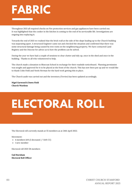### **FABRIC**

Throughout 2021 all required checks on Fire protection services and gas appliances have been carried out. It was highlighted that the cooker in the kitchen is coming to the end of its serviceable life. Investigations are ongoing into replacing it.

Towards the end of 2021 we realised that the brick wall at the side of the slope leading up to the Church building was separating apart. A structural Engineer came out and checked the situation and confirmed that there was some structural damage being caused by tree roots on the neighbouring property. We have contacted Land Registry and the Diocese for advice as to how the problem can be solved.

During the year we have had a couple of sessions to clear clutter and tidy up, once in the shed and once in the building. Thanks to all who volunteered to help.

The church made a donation to Bluecoat School in exchange for their roadside noticeboard. Planning permission was sought and approved for it to be placed at the front of the church. This has now been put up and we would like to thank Colin Field and Neels Herman for the hard work getting this in place.

The Church audit was carried out and the inventory (Terrier) has been updated accordingly.

**Nigel Garwood & Dawn Field Church Wardens**

### **ELECTORAL ROLL**

The Electoral roll currently stands at 55 members as at 24th April 2022.

Movement:

- 4 members left (3 deceased / 1 left CC)
- 1 new member

Electoral roll 2021 58 members

**Gail Burnham Electoral Roll Officer**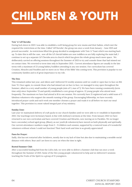## **CHILDREN & YOUTH**

### **Tots' 'n' Lil'Cherubs:**

During lock down in 2021 I was able to establish a well-being group for new mums and their babies, which met the required the restrictions at the time. Called 'Lil'Cherubs', the group ran once a week from January – June 2021 and proved successful. As restrictions lifted the group decided to amalgamate with Tots 'n' Toast which was starting back up. To date this is still the case, now all the Lil' cherub babies are now toddlers so are fully exploring the main hall, I continue to set up a separate Lil' Cherubs area in church which has given the whole group much more space. We deliberately carried on offering sessions throughout the Summer of 2021 to try and console those that had missed out on contact time. We reverted to term time only in September 2021. Current attendance figures are usually in the late teens with a maximum of 23 young babies/toddlers attending in any one session. Our curriculum has covered Creation, Miracles and Parables and we move on to 'Men of the Bible' this coming term. This provision is popular to our community families and is of great importance to my role.

### **The Den:**

This remained online last year, and Aileen and I delivered 53 weekly sessions until we could re-open face to face on 8th June '21. Once again, to console those who had missed out on face to face, we managed to stay open throughout the Summer, albeit to a very small number of young people (min of 3, max of 7). We have been running consistently (term time only) since September '21 and quickly established a core group of approx. 12 young people who attend most frequently. The maximum we have had attend is 18 in one session. We currently have 21 registered and a solid team of 5 fabulous volunteers who support the smooth running of the group. Encouraging fellowship, we have recently introduced prayer cards and each week one member chooses a prayer and reads it to all before we start our meal together. This provision is a most valued integral part of my ministry.

### **Sunday Zone:**

Last year we maintained delivery of craft packs to our church families until we were able to re-establish in September 2021. Our teachings were lectionary based, in line with Anthony's sermons at the time. From January 2022 we have returned to our own curriculum and have covered Creation and Miracles, now moving on to Parables. We no longer have a secondary school aged group, (Blaze), as our youth (& volunteers) have moved on both physically and spiritually. Our current attendance numbers range from 5 – 9 children each session, supported by a rostered team of 4 wonderful volunteers without whom I could not function! Their hard work and time is so greatly appreciated!

### **Paws for Prayer:**

Sadly, this has not restarted after lockdown, mostly due to my lack of time but also due to maintaining a sensible social distance with others. Bear and I are keen to carry on when the time is right.

### **Rooted Summer Club:**

After a successful funding bid from the LADs club, we were able to deliver a Summer club that ran once a week throughout the Summer of 2021. Some of the Den young people volunteered to help and we delivered 5 sessions teaching the Fruits of the Spirit to a group of 13 youngsters.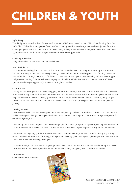## **CHILDREN & YOUTH**

### **Light Party:**

Thankfully we were still able to deliver an alternative to Halloween last October 2021, by kind funding from the LADs Club.We had 26 young people from the church family, and from various primary schools, join us for a fun evening of games and activities centred on Jesus being the Light. We received some positive feedback and once again, this was to the thanks of the generous volunteers who supported it!

### **Christingle Service:**

Sadly, this had to be cancelled due to Covid illness.

### **School Ministry:**

With the same funding from the LADs Club, I am able to attend Bluecoat Primary for a morning and Stamford Welland Academy in the afternoon every Tuesday to offer school ministry and support. This funding runs from September 2021 through to the end of July 2022. I have been able to give some mentoring and resilience support and promote reading skills, as well as developing relationships with individuals both students and staff. I see approximately 20 young people (one to one) throughout the day.

### **Choc 'n' Chat:**

Acutely aware of our youth who were struggling with the lock down, I was able to run a Youth Alpha for 10 weeks from March – July 2021. With a dedicated small team of volunteers, we were able to draw alongside individuals and help them better understand the big questions in life and explore their stance of faith. We had 7 young people attend the course, most of whom came from The Den, and it was a real privilege to be a part of their spiritual journey.

### **Looking forward:**

From May we will have a new Blaze group once a month, run by Carly who attends our church. With support, she will be leading our older primary aged children in Jesus centred teachings, and this is an exciting development for our church youngsters.

Responding to a specific request, I will be running Alpha for a small group of Tots parents, starting Wednesday 27th April for 8 weeks. This will be the second Alpha we have run and will hopefully pave the way for further courses.

Despite not having many youths attend our services, I maintain meetings with our Choc 'n' Chat group during school holidays, with the aim of running a mini youth Bible study (face to face) via a phone app. The details of when and where are currently being developed.

Your continued prayers are needed in giving thanks to God for all our current volunteers and funding and to seek more as none of the above is possible without either the willing and giving hearts of those around us.

**Lel Nicholls Children & Youth Minister.**

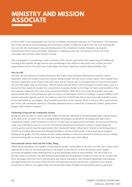### **MINISTRY AND MISSION ASSOCIATE**

In March 2021 I was commissioned into the role of Ministry and Mission Associate for Christchurch. The missional side of this role has involved initiating and overseeing a number of different projects over the year including the Pop-Up Café, the Gardening Group and development of the Community Garden, helping to develop the International Culture Feast and Friday Thing and co-ordinating some one-off outreach events such as the Scavenger Hunt and the Ladies Pamper Evening.

This is alongside to contributing to other ministries of the church, particularly with supporting the leading and teaching at the monthly all-age services and contributing to the children's and youth work in other outreach opportunities such as Tots and Toast, Youth Alpha, the Easter Experience and the Rooted holiday Club.

### **Pop-Up Café**

The Pop-up Café started on Tuesday afternoons after Easter when lockdown lifted and ran until the end of September when the weather turned too cold for sitting outside! The aim was to create a space where people from the local community could connect with each other and the church, give us an opportunity to read the local mood and see what might 'pop-up' from there. While it did go well and achieve what we hoped it would in many ways, we discovered that mainly the people who connected were people already on the fringe on church and members of the international community who came from a personal invitation. While there were some local people who came spontaneously there were perhaps not quite as many as we had hoped. However, it did give us great visibility to the school community opposite and we were able to create lots of initial links that we have been able to build on since, for me particularly as my daughter Hope started school there in the autumn. When it was too cold to meet outside, part of the café community moved to a Thursday afternoon and we created the 'Community Chatter' group where people could continue to gather.

### **Gardening Group and the Community Garden**

During the pop-up café we came to further realise the fantastic potential of our little garden space outside church at the back of the car park. Over the coming months I developed a proposal for developing that space into a Community Garden, which I presented to the PCC in June and was approved in November. We are now all lined up ready to go with this as soon as we receive the final go-ahead from the diocese. In order to help manage the current garden and develop the opportunities the Community Garden will present, I started a Gardening group in October on Tuesday afternoons and although attendance has been fairly small, we have made great progress tidying up the garden. We had a break over the coldest months in winter but restarted in February and are looking forward to being able to crack on with the next stage of the plan soon, God willing!

### **International Culture Feast and The Friday Thing**

Following the attendance of a number of international people, mainly ladies, at the Pop-Up Café, and a rather divine opportunity to host an 'International Feast' in December at the church, we have developed a more regular (currently fortnightly) Friday morning drop-in group specifically aimed at internationals. The aim of this is to provide a place of welcome, fun, fellowship and potentially the development of faith over time. So far, we have had three mornings which have been well attended, had a great atmosphere and contained significant conversations and opportunities for encounter with God! The International Feast has also become a quarterly event and the second one in February was again really well attended (by nearly 20 different nationalities) and was great fun!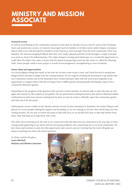### **MINISTRY AND MISSION ASSOCIATE**

### **Outreach events**

As well as contributing to the community outreach events that we already run as a church, such as the Christmas Fayre and anniversary events, we hosted a Scavenger hunt for families in October and a Ladies Pamper evening in March. Both were well attended by members of the church as well as people from the local community which was fantastic. We had encouraging feedback that they were really enjoyed and both events brought a couple of people in or back to church the following days. The Ladies Pamper evening particularly gave us a wonderful opportunity to really bless the ladies who came, not just with the physical pampering treats but also what we called the 'Blessing chair' where people could receive prayer or words of encouragement, strengthening or even revelation.

### **Future ideas and opportunities**

It is encouraging writing this report to see how far we have come in just a year, and I look forward to seeing how things further develop or adapt with the coming seasons. We are eagerly awaiting the permission to go ahead with our Community Garden, but in the meantime have created fantastic links with the local school opposite in an opportunity to support them with the reviving of their wildlife garden and potentially developing a space into a community allotment garden.

Depending on the progress of the garden in the next few weeks/months, we may be able to open the pop-up café again this summer in the carpark or the garden. We are particularly looking forward to the Queen's Platinum Jubilee celebrations in early June and are trusting that by then we may be ready to officially 'open' the community garden and then use it for the party!

Following the recent conflict in the Ukraine and the arrival of some Ukrainians in Stamford, the Friday Thing is well placed to receive people looking for support and friendship, so we are waiting to see how this will develop over the coming months. We are due to review the plans at May half term, so we decide then how to take this further from there. May God help us to help those who come.

The other area of stirring over the year as we connected with and observed our community is the way that we have young people gathering at our doors and the increasing problems with casual drug use in our local community. We have been and continue to pray into this opportunity and concern and are trusting that the Lord will guide our steps in reaching out where the need is greatest.

In Christ, and for His glory, **Laura Mitchell Ministry and Mission Associate**



07 CHRIST CHURCH STAMFORD ANNUAL REPORT 2021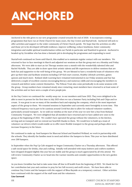### **ANCHORED**

Anchored is the title given to our new programme created towards the end of 2020. It incorporates existing programmes that have run at Christ Church for many years, the Day Centre and StartaFresh. Anchored will seek to offer activities and support to the wider community of Christ Church parish. We hope that the activities on offer and those yet to be developed will build resilience, improve wellbeing, reduce loneliness, foster community integration and enable spiritual transformation within our Parish in particular and Stamford in general. Anchored is headed up by Geraldine who has done a fantastic job in developing the programme and responding to need.

StartaFresh continued on Zoom until March, this enabled us to maintain regular contact with our members. We returned to face to face meetings in March and adjusted our sessions so that the group met on a Monday and Friday afternoon. We were able to start an Art Therapy session once a month with the wonderfully talented John and Rachel Nicholls. They are able to draw upon their artistic talents and life experiences to deliver sessions that are both fun and supportive to the well-being of the group. We are blessed to have a wonderful team of volunteers who give up their time and facilitate sessions including CAP Kick start courses, Healthy Lifestyle activities, games quizzes and much more. Rutland Adult Learning have remained instrumental in our Friday sessions and Sue has delivered a couple of excellent courses encouraging literacy and numeracy skills and encouraging the members to research and deliver some content themselves. The Pelican Trust also come periodically to do some sessions with the group. Group numbers have remained steady since restarting, most members have returned to at least some of the activities and we have seen a couple of new people join.

At the Day Centre we continued the weekly soup run to our members until June 2021. They were delighted to be able to meet in person for the first time in July 2021 when we ran a Summer Party including Fish and Chips and ice cream. It was great to see so many of the members back and enjoying the company, which is the most important aspect of the group to them. We resumed sessions in September and currently meet fortnightly in term time. This reduced frequency was in part to be cautious around Covid but also to allow for reduced volunteer numbers, particularly around transport. As we sold our minibus at the start of the year we now hire a bus from Rutland Community Transport. We were delighted that all members have returned and we have added new ones to the group at the beginning of 2022. We couldn't have operated the group without the volunteers, in the kitchen, serving and on transport and we extend our heartfelt thanks to them. We would love to build up a team of volunteer car drivers which would enable us to offer more flexible transport to the group and perhaps allow us to increase frequency in the future.

We continued to make up food hampers for Bluecoat School and Stamford Welland, we work in partnership with the schools. They identify the families most in need and deliver the hampers to them. This year we have distributed over 200 hampers.

In September when the Pop Up Cafe stopped we began Community Chatter on a Thursday afternoon. This offered a safe social space for drinks, chat and crafting. Initially well attended with many knitters and crafters numbers have dropped dropped slightly this year but are stable and the group is much appreciated by all who attend. We will review Community Chatter as we head into the warmer months and consider opportunities in the new garden space.

As you know Geraldine has had to take some time off due to ill health from the beginning of 2022. We thank her for her contribution last year and continue to pray for her full recovery and swift return. We have been able to continue Day Centre and the hampers with the support of Rhea Rayside on a temporary contract. Other activities have continued with the support of the staff team and the volunteers.

### **Lisa Garwood**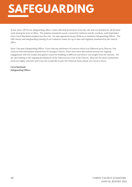### **AFEGUARDING**

At last years' APCM our safeguarding officer, James Mitchell stood down from the role and was thanked for all his hard work during his term of office. The position remained vacant, covered by Anthony and the wardens, until September when Carol MacBeath stepped into the role. We also appointed Jacqui Wells as an Assistant Safeguarding Officer. The DBS checks and safeguarding training of our volunteer teams are up to date and regularly monitored by the church office.

Since I became Safeguarding Officer. I have had one disclosure of concern which was followed up by Diocese. One concern with information shared from St George's Church. There have been discussions around our ongoing engagement with the youths that gather round the building at different and advice was sought from the Diocese. We are also looking at the ongoing development of the Pastoral Care Unit of the Church. Ideas for the above mentioned areas are highly welcome and if any one would like to join The Pastoral Team, please see Carol or Dawn.

**Carol Macbeath Safeguarding Officer**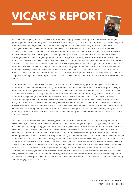## **VICAR'S REPORT**



As at this time last year, 2021, COVID restrictions had been slightly revised, allowing us to have a few more people gathering in the church building. Holy Week was eventful as the yearly Walk of Witness organized by Churches Together in Stamford went virtual, allowing for creativity and adaptability. As the newest clergy on the block, I had the great privilege of preaching last year which for obvious reasons was pre-recorded. A virtual trail of the churches also took place on the day, Good Friday. We had an in-house reflection service later that afternoon. The Saturday after was the Easter Experience for the children primarily accompanied by parents or other members of their families. It was a morning filled with games, craft, songs and most importantly, the Easter story over four different time slots. Easter Sunday service was full and well attended as much we could accommodate. We also resumed communion at this service. The APCM last year afforded us time to reflect on the previous year, celebrate what was good and improve on what was yet to be. it was also a time to formally recognise, before the congregation, the new additions to the PCC namely Tina Bland, Jacqui Wells, Rachael McCarter and Barbara Morley. Dawn Fields also returned to the PCC as Church Warden after Jay Nicholls stepped down. Later in the year, Carol McBeath was appointed as the Parish Safeguarding Officer with Jacqui Wells coming alongside as Deputy. James Mitchell had also stepped down from this role after faithfully serving his tenure.

Summer in 2021 was a time for us to step out of the building (into the car park / garden) to engage with the wider community on the Estate. Pop up café led by Laura Mitchell and her team of volunteers set up the car park café style with lots of hot beverage and sumptuous cakes for those who came and when the weather was great. Thankfully we did have many of those days and people did come to the café with a few helping out with the garden as well. As part of our community engagement, we had three monthly car boot sales over the summer months which fared fairly well. One of the highlights last summer was the 60th anniversary celebration of the founding of Christ Church. We had a lovely service which was well attended and many who hadn't been to the church since COVID came as well. We had food afterwards and the cake was remarkable. We probably could have made much out of it but grateful we did do something albeit simple. Another highlight was the Church BBQ we had following the first service, since I and my family arrived in Stamford, without COVID restrictions. It was a fun atmosphere and great to meet with lots of church folks that attended prior to lockdown.

Our outreach initiatives carried on even through the colder months. Even though, the Pop-up café stopped due to season change, we adapted our outreach to match the short days and long dark nights. The Light Party, organised by Lel and the team, had perhaps its biggest number of children, 30, even pre-COVID. It was an opportunity for the children to see and hear about Jesus as the Light of the world and that there was a better alternative to Halloween. Later that November, we braved the cold to have our monthly evening Immerse service as 'songs around the firepit', where we worshipped outside around our makeshift firepit followed by toasted marshmallows and hot chocolate. December kicked off with the Christmas Fair which, considering all that had transpired the year and even last year, was a huge success. All hands were on deck as the entire church space was transformed to a winter wonderland. It was super busy from start to finish, and the Lord blessed all the efforts of everyone involved with the handsome funds that were raised. The following Saturday, the 11th, witnessed another crowd in the building, this time, the International Community from within Stamford, Peterborough, and environs. It was an incredible atmosphere with a rich array of food and culture. We were richly blessed to have hosted it. We ploughed through the winter blues thereafter with omicron but still managed to pull off the carols in the carpark. Again, it was well attended even when the weather went awry. Folks came into the building to finish singing their Christmas carols.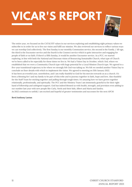## **VICAR'S REPORT**



The entire year, we focused on the CATALYST values in our services exploring and establishing eight primary values we subscribe to in order for us to live our vision and fulfil our mission. We also reviewed our services to reflect various ways we can worship God collectively. The first Sunday is our monthly Communion service, the second is the Family / All-age, the third is the Encounter service and the fourth is the Connect service which is quite interactive and engaging for people of faith or no faith. If there's a fifth Sunday, it would be another Encounter service. As a PCC, we started exploring, in line with both the National and Diocesan vision of Resourcing Sustainable Church, what type of Church we've been called to be especially for these times we live in. We had a Vision Day in October, which I led, where we established that we were a Community Church type with huge potential for a Local Mission Church type. We agreed to a five-year transitional trajectory to be where we strongly felt God was taking us. We felt we needed another Vision Day to conclude on finer details with which to implement the vision. We agreed to meeting on 15th January 2022. It has been an eventful year, nonetheless, and I am really thankful to God for his mercies towards us as a church. It's been a blessing for I and my family to be part of this tribe and to journey together in faith, hope and love. Also thankful for the Staff Team for sticking together and pulling through tough times. It's amazing how we have grown together relationally, professionally, and spiritually. The PCC and the Ministry Team I am immensely grateful to for their right hand of fellowship and unfeigned support. God has indeed blessed us with health, strength, and provision even adding to our number last year with new people like Carly, Neels and their kids, Albert and Maria and Sandra. As 2022 continues to unfold, I am excited and hopeful of greater testimonies and successes for the next APCM

**Revd Anthony Laotan**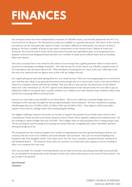## **FINANCES**

Our annual accounts have been independently examined, by Michelle Feasey, and formally adopted by the PCC as a true record of our finances. The full annual accounts are available in a separate document. The nature of the way the accounts are set up, with particular regard to funds, can make it difficult to understand a true picture of what is going on. We have a number of funds so this report concentrates on the General Fund, Children & Youth and Anchored. The General Fund is where all the main church income and expenditure goes, each programme has a separate restricted and designated fund and there are a number of small church related funds such as hardship, fabric and mission.

This year's accounts have to be viewed in the context of recovering from a global pandemic where we have slowly returned to something resembling "normality". The total income for Christ Church was £58,082 a small increase of 1%. Expenditure also increased about 0.5% With attendance remaining low for much of the year, following Covid, this was to be expected and our figures were in line with our budget forecast.

Our regular giving and open plate giving showed a very small increase. There are encouraging signs as we neared the year-end that this will go in an upwards direction as more people join us or return post-Covid. At the end of 2020 we closed our transport scheme and sold the minibus. This was sold at a loss and the only fixed asset on the balance sheet now is the wheelchair car. The PCC agreed to the disbursement of the sale proceeds. We were able to pay an additional £5,860 to our parish share, transfer £4,800 to our Children and Youth Minister fund, £3,000 to Fabric fund and left the remaining £6340 in General Fund.

Last year we were able to pay £10,000 to our Parish Share. This is now called the Covenant Pledge and we are working on a five year plan through the Resourcing Sustainable Church initiative. We have committed to paying £10,000 again this year, £11,500 in 2023, £12,500 in 2024 and £15,000 in 2025. These figures will be kept under regular review and are a pledge rather than anything legally binding.

Our biggest challenge remains to increase our income to support the payment of our Parish share and our other commitments. Please do look at the finance board in church which will be regularly updated and communicated. We are running at a deficit budget this year of £8,284. This is higher than we had anticipated due to rising energy costs. We are praying for and focussing on increasing our income this year to significantly reduce this deficit and have seen good progress so far.

We are grateful for the continued support of a number of organisations who have granted funding so that we can continue with the work of our Children and Youth Minister and Anchored. This year we received funding from Stamford Lads Club, Burghley Family Trust, Reiss Trust, The Ark Trust, Cummins, Stamford Kiwani's, Stamford XT and Stamford Rotary. The funds for these roles are a priority as we look with some urgency to secure funding to allow us to continue this vital work.

How can you help? Do consider reviewing whether you are able to increase your giving prayerfully and practically. We are thankful for the generosity of all who give of their time, talent and treasure to the work of Christ Church. We do not take it for granted.

**Lisa Garwood Treasurer**